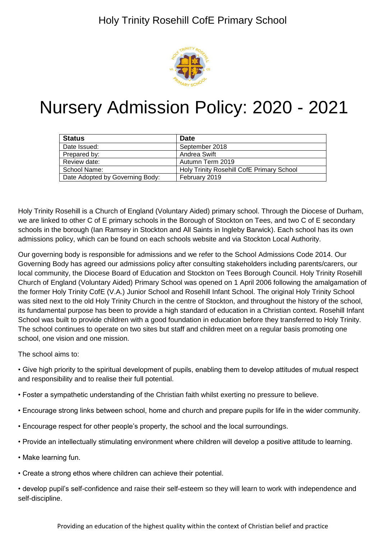## Holy Trinity Rosehill CofE Primary School



# Nursery Admission Policy: 2020 - 2021

| <b>Status</b>                   | <b>Date</b>                               |
|---------------------------------|-------------------------------------------|
| Date Issued:                    | September 2018                            |
| Prepared by:                    | Andrea Swift                              |
| Review date:                    | Autumn Term 2019                          |
| School Name:                    | Holy Trinity Rosehill CofE Primary School |
| Date Adopted by Governing Body: | February 2019                             |

Holy Trinity Rosehill is a Church of England (Voluntary Aided) primary school. Through the Diocese of Durham, we are linked to other C of E primary schools in the Borough of Stockton on Tees, and two C of E secondary schools in the borough (Ian Ramsey in Stockton and All Saints in Ingleby Barwick). Each school has its own admissions policy, which can be found on each schools website and via Stockton Local Authority.

Our governing body is responsible for admissions and we refer to the School Admissions Code 2014. Our Governing Body has agreed our admissions policy after consulting stakeholders including parents/carers, our local community, the Diocese Board of Education and Stockton on Tees Borough Council. Holy Trinity Rosehill Church of England (Voluntary Aided) Primary School was opened on 1 April 2006 following the amalgamation of the former Holy Trinity CofE (V.A.) Junior School and Rosehill Infant School. The original Holy Trinity School was sited next to the old Holy Trinity Church in the centre of Stockton, and throughout the history of the school, its fundamental purpose has been to provide a high standard of education in a Christian context. Rosehill Infant School was built to provide children with a good foundation in education before they transferred to Holy Trinity. The school continues to operate on two sites but staff and children meet on a regular basis promoting one school, one vision and one mission.

The school aims to:

• Give high priority to the spiritual development of pupils, enabling them to develop attitudes of mutual respect and responsibility and to realise their full potential.

- Foster a sympathetic understanding of the Christian faith whilst exerting no pressure to believe.
- Encourage strong links between school, home and church and prepare pupils for life in the wider community.
- Encourage respect for other people's property, the school and the local surroundings.
- Provide an intellectually stimulating environment where children will develop a positive attitude to learning.
- Make learning fun.
- Create a strong ethos where children can achieve their potential.

• develop pupil's self-confidence and raise their self-esteem so they will learn to work with independence and self-discipline.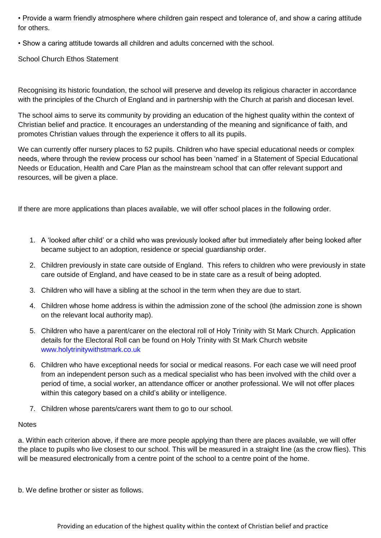• Provide a warm friendly atmosphere where children gain respect and tolerance of, and show a caring attitude for others.

• Show a caring attitude towards all children and adults concerned with the school.

School Church Ethos Statement

Recognising its historic foundation, the school will preserve and develop its religious character in accordance with the principles of the Church of England and in partnership with the Church at parish and diocesan level.

The school aims to serve its community by providing an education of the highest quality within the context of Christian belief and practice. It encourages an understanding of the meaning and significance of faith, and promotes Christian values through the experience it offers to all its pupils.

We can currently offer nursery places to 52 pupils. Children who have special educational needs or complex needs, where through the review process our school has been 'named' in a Statement of Special Educational Needs or Education, Health and Care Plan as the mainstream school that can offer relevant support and resources, will be given a place.

If there are more applications than places available, we will offer school places in the following order.

- 1. A 'looked after child' or a child who was previously looked after but immediately after being looked after became subject to an adoption, residence or special guardianship order.
- 2. Children previously in state care outside of England. This refers to children who were previously in state care outside of England, and have ceased to be in state care as a result of being adopted.
- 3. Children who will have a sibling at the school in the term when they are due to start.
- 4. Children whose home address is within the admission zone of the school (the admission zone is shown on the relevant local authority map).
- 5. Children who have a parent/carer on the electoral roll of Holy Trinity with St Mark Church. Application details for the Electoral Roll can be found on Holy Trinity with St Mark Church website [www.holytrinitywithstmark.co.uk](http://www.holytrinitywithstmark.co.uk/)
- 6. Children who have exceptional needs for social or medical reasons. For each case we will need proof from an independent person such as a medical specialist who has been involved with the child over a period of time, a social worker, an attendance officer or another professional. We will not offer places within this category based on a child's ability or intelligence.
- 7. Children whose parents/carers want them to go to our school.

#### **Notes**

a. Within each criterion above, if there are more people applying than there are places available, we will offer the place to pupils who live closest to our school. This will be measured in a straight line (as the crow flies). This will be measured electronically from a centre point of the school to a centre point of the home.

b. We define brother or sister as follows.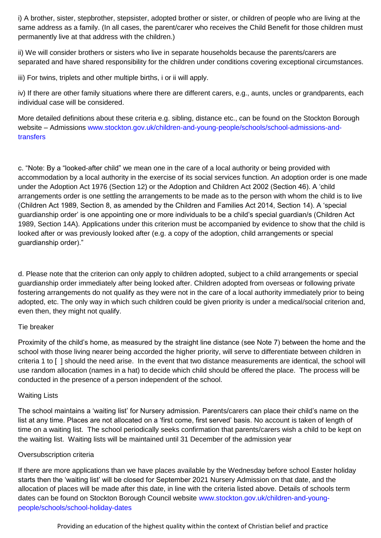i) A brother, sister, stepbrother, stepsister, adopted brother or sister, or children of people who are living at the same address as a family. (In all cases, the parent/carer who receives the Child Benefit for those children must permanently live at that address with the children.)

ii) We will consider brothers or sisters who live in separate households because the parents/carers are separated and have shared responsibility for the children under conditions covering exceptional circumstances.

iii) For twins, triplets and other multiple births, i or ii will apply.

iv) If there are other family situations where there are different carers, e.g., aunts, uncles or grandparents, each individual case will be considered.

More detailed definitions about these criteria e.g. sibling, distance etc., can be found on the Stockton Borough website – Admissions [www.stockton.gov.uk/children-and-young-people/schools/school-admissions-and](http://www.stockton.gov.uk/children-and-young-people/schools/school-admissions-and-transfers)[transfers](http://www.stockton.gov.uk/children-and-young-people/schools/school-admissions-and-transfers)

c. "Note: By a "looked-after child" we mean one in the care of a local authority or being provided with accommodation by a local authority in the exercise of its social services function. An adoption order is one made under the Adoption Act 1976 (Section 12) or the Adoption and Children Act 2002 (Section 46). A 'child arrangements order is one settling the arrangements to be made as to the person with whom the child is to live (Children Act 1989, Section 8, as amended by the Children and Families Act 2014, Section 14). A 'special guardianship order' is one appointing one or more individuals to be a child's special guardian/s (Children Act 1989, Section 14A). Applications under this criterion must be accompanied by evidence to show that the child is looked after or was previously looked after (e.g. a copy of the adoption, child arrangements or special guardianship order)."

d. Please note that the criterion can only apply to children adopted, subject to a child arrangements or special guardianship order immediately after being looked after. Children adopted from overseas or following private fostering arrangements do not qualify as they were not in the care of a local authority immediately prior to being adopted, etc. The only way in which such children could be given priority is under a medical/social criterion and, even then, they might not qualify.

### Tie breaker

Proximity of the child's home, as measured by the straight line distance (see Note 7) between the home and the school with those living nearer being accorded the higher priority, will serve to differentiate between children in criteria 1 to [ ] should the need arise. In the event that two distance measurements are identical, the school will use random allocation (names in a hat) to decide which child should be offered the place. The process will be conducted in the presence of a person independent of the school.

### Waiting Lists

The school maintains a 'waiting list' for Nursery admission. Parents/carers can place their child's name on the list at any time. Places are not allocated on a 'first come, first served' basis. No account is taken of length of time on a waiting list. The school periodically seeks confirmation that parents/carers wish a child to be kept on the waiting list. Waiting lists will be maintained until 31 December of the admission year

### Oversubscription criteria

If there are more applications than we have places available by the Wednesday before school Easter holiday starts then the 'waiting list' will be closed for September 2021 Nursery Admission on that date, and the allocation of places will be made after this date, in line with the criteria listed above. Details of schools term dates can be found on Stockton Borough Council website [www.stockton.gov.uk/children-and-young](http://www.stockton.gov.uk/children-and-young-people/schools/school-holiday-dates)[people/schools/school-holiday-dates](http://www.stockton.gov.uk/children-and-young-people/schools/school-holiday-dates)